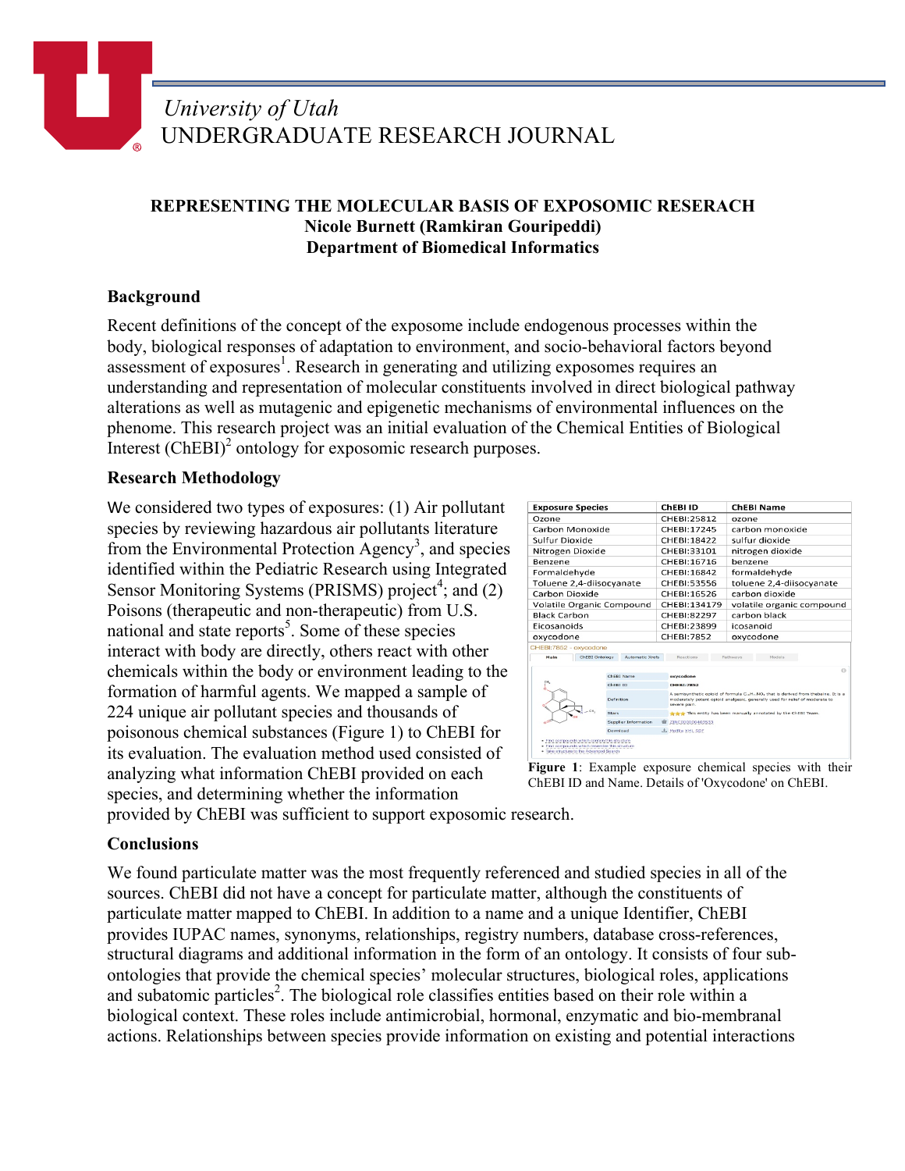# **REPRESENTING THE MOLECULAR BASIS OF EXPOSOMIC RESERACH Nicole Burnett (Ramkiran Gouripeddi) Department of Biomedical Informatics**

# **Background**

Recent definitions of the concept of the exposome include endogenous processes within the body, biological responses of adaptation to environment, and socio-behavioral factors beyond assessment of exposures<sup>1</sup>. Research in generating and utilizing exposomes requires an understanding and representation of molecular constituents involved in direct biological pathway alterations as well as mutagenic and epigenetic mechanisms of environmental influences on the phenome. This research project was an initial evaluation of the Chemical Entities of Biological Interest (ChEBI)<sup>2</sup> ontology for exposomic research purposes.

### **Research Methodology**

We considered two types of exposures: (1) Air pollutant species by reviewing hazardous air pollutants literature from the Environmental Protection Agency<sup>3</sup>, and species identified within the Pediatric Research using Integrated Sensor Monitoring Systems (PRISMS) project<sup>4</sup>; and (2) Poisons (therapeutic and non-therapeutic) from U.S. national and state reports<sup>5</sup>. Some of these species interact with body are directly, others react with other chemicals within the body or environment leading to the formation of harmful agents. We mapped a sample of 224 unique air pollutant species and thousands of poisonous chemical substances (Figure 1) to ChEBI for its evaluation. The evaluation method used consisted of analyzing what information ChEBI provided on each species, and determining whether the information

| <b>Exposure Species</b>                                                |                                   |  | ChEBI ID                                                                                                                                                                                                | <b>ChEBI Name</b>                                              |
|------------------------------------------------------------------------|-----------------------------------|--|---------------------------------------------------------------------------------------------------------------------------------------------------------------------------------------------------------|----------------------------------------------------------------|
| Ozone                                                                  |                                   |  | CHEBI:25812                                                                                                                                                                                             | ozone                                                          |
| Carbon Monoxide                                                        |                                   |  | CHEBI:17245                                                                                                                                                                                             | carbon monoxide                                                |
| Sulfur Dioxide                                                         |                                   |  | CHEBI:18422                                                                                                                                                                                             | sulfur dioxide                                                 |
| Nitrogen Dioxide<br>Benzene                                            |                                   |  | CHEBI:33101<br>CHEBI: 16716                                                                                                                                                                             | nitrogen dioxide<br>benzene                                    |
|                                                                        |                                   |  |                                                                                                                                                                                                         |                                                                |
| Formaldehyde                                                           |                                   |  | CHEBI: 16842                                                                                                                                                                                            | formaldehyde                                                   |
| Toluene 2,4-diisocyanate                                               |                                   |  | CHEBI:53556                                                                                                                                                                                             | toluene 2.4-diisocyanate                                       |
| Carbon Dioxide                                                         |                                   |  | CHEBI:16526                                                                                                                                                                                             | carbon dioxide                                                 |
| Volatile Organic Compound<br><b>Black Carbon</b><br><b>Eicosanoids</b> |                                   |  | CHEBI:134179<br>CHEBI:82297<br>CHEBI:23899                                                                                                                                                              | volatile organic compound<br>carbon black<br>icosanoid         |
|                                                                        |                                   |  |                                                                                                                                                                                                         |                                                                |
|                                                                        |                                   |  |                                                                                                                                                                                                         |                                                                |
| oxycodone                                                              |                                   |  | CHEBI: 7852                                                                                                                                                                                             | oxycodone                                                      |
| CHEBI:7852 - oxycodone                                                 |                                   |  |                                                                                                                                                                                                         |                                                                |
| Main                                                                   | ChEBI Ontology<br>Automatic Xrefs |  | Reactions                                                                                                                                                                                               | Pathways<br>Models                                             |
|                                                                        |                                   |  |                                                                                                                                                                                                         | $\alpha$                                                       |
| ChEBI Name<br>Chest ID                                                 |                                   |  | oxycodone                                                                                                                                                                                               |                                                                |
|                                                                        |                                   |  | <b>CHERI:7852</b><br>A semisynthetic opioid of formula C. H. NO, that is derived from thebaine. It is a<br>moderately potent opioid analgesic, generally used for relief of moderate to<br>severe pain. |                                                                |
|                                                                        | Definition                        |  |                                                                                                                                                                                                         |                                                                |
|                                                                        |                                   |  |                                                                                                                                                                                                         |                                                                |
| $-CH$                                                                  | Stars                             |  |                                                                                                                                                                                                         | the this entity has been manually annotated by the ChEBI Team. |
|                                                                        | Supplier Information              |  | ZINC000000403533                                                                                                                                                                                        |                                                                |

Figure 1: Example exposure chemical species with their ChEBI ID and Name. Details of 'Oxycodone' on ChEBI.

provided by ChEBI was sufficient to support exposomic research.

## **Conclusions**

We found particulate matter was the most frequently referenced and studied species in all of the sources. ChEBI did not have a concept for particulate matter, although the constituents of particulate matter mapped to ChEBI. In addition to a name and a unique Identifier, ChEBI provides IUPAC names, synonyms, relationships, registry numbers, database cross-references, structural diagrams and additional information in the form of an ontology. It consists of four subontologies that provide the chemical species' molecular structures, biological roles, applications and subatomic particles<sup>2</sup>. The biological role classifies entities based on their role within a biological context. These roles include antimicrobial, hormonal, enzymatic and bio-membranal actions. Relationships between species provide information on existing and potential interactions